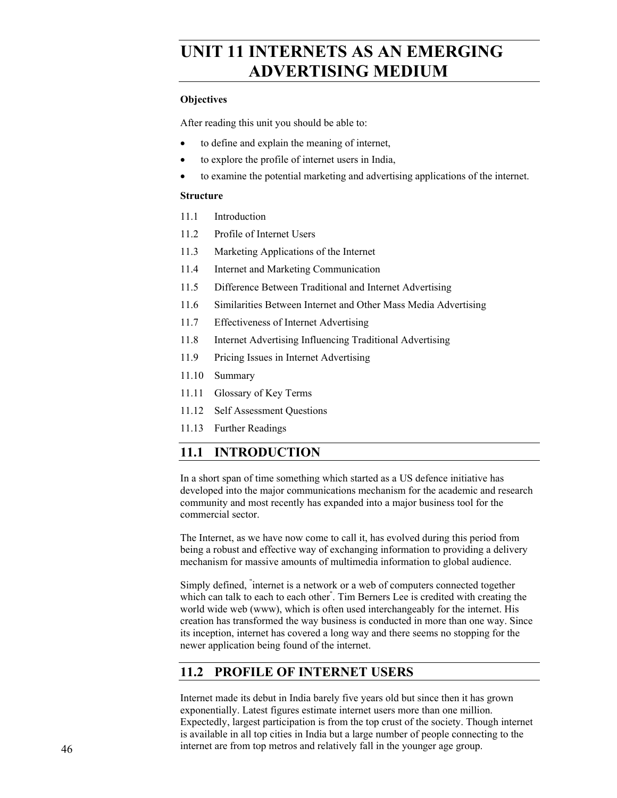# **UNIT 11 INTERNETS AS AN EMERGING ADVERTISING MEDIUM**

#### **Objectives**

After reading this unit you should be able to:

- to define and explain the meaning of internet,
- to explore the profile of internet users in India,
- to examine the potential marketing and advertising applications of the internet.

#### **Structure**

- 11.1 Introduction
- 11.2 Profile of Internet Users
- 11.3 Marketing Applications of the Internet
- 11.4 Internet and Marketing Communication
- 11.5 Difference Between Traditional and Internet Advertising
- 11.6 Similarities Between Internet and Other Mass Media Advertising
- 11.7 Effectiveness of Internet Advertising
- 11.8 Internet Advertising Influencing Traditional Advertising
- 11.9 Pricing Issues in Internet Advertising
- 11.10 Summary
- 11.11 Glossary of Key Terms
- 11.12 Self Assessment Questions
- 11.13 Further Readings

### **11.1 INTRODUCTION**

In a short span of time something which started as a US defence initiative has developed into the major communications mechanism for the academic and research community and most recently has expanded into a major business tool for the commercial sector.

The Internet, as we have now come to call it, has evolved during this period from being a robust and effective way of exchanging information to providing a delivery mechanism for massive amounts of multimedia information to global audience.

Simply defined, " internet is a network or a web of computers connected together which can talk to each to each other" . Tim Berners Lee is credited with creating the world wide web (www), which is often used interchangeably for the internet. His creation has transformed the way business is conducted in more than one way. Since its inception, internet has covered a long way and there seems no stopping for the newer application being found of the internet.

### **11.2 PROFILE OF INTERNET USERS**

Internet made its debut in India barely five years old but since then it has grown exponentially. Latest figures estimate internet users more than one million. Expectedly, largest participation is from the top crust of the society. Though internet is available in all top cities in India but a large number of people connecting to the internet are from top metros and relatively fall in the younger age group.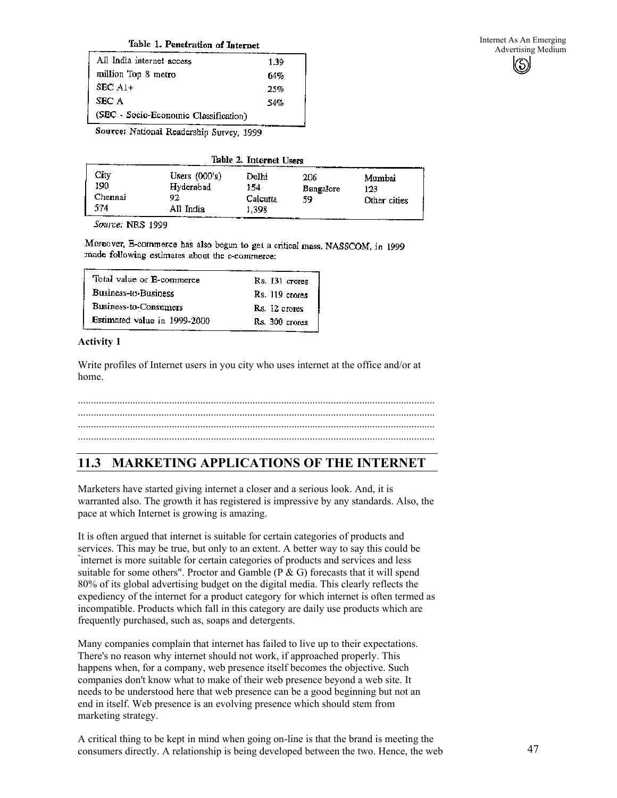#### Table 1. Penetration of Internet

| All India internet access             | 1.39 |
|---------------------------------------|------|
| million Top 8 metro                   | 64%  |
| $SEC A1+$                             | 25%  |
| SEC A                                 | 54%  |
| (SEC - Socio-Economic Classification) |      |

Source: National Readership Survey, 1999

Table 2. Internet Users

| City<br>190<br>Chennai<br>574 | Users $(000's)$<br>Hyderabad<br>92<br>All India | Delhi<br>154<br>Calcutta<br>1.398 | 206<br>Bangalore<br>59. | Mumbai<br>123<br>Other cities |
|-------------------------------|-------------------------------------------------|-----------------------------------|-------------------------|-------------------------------|
|-------------------------------|-------------------------------------------------|-----------------------------------|-------------------------|-------------------------------|

Source: NRS 1999

Moreover, E-commerce has also begun to get a critical mass. NASSCOM, in 1999 made following estimates about the e-commerce;

| Total value or E-commerce    | Rs. 131 crores |
|------------------------------|----------------|
| Business-to-Business         | Rs. 119 crores |
| Business-to-Consumers        | Rs. 12 crores  |
| Estimated value in 1999-2000 | Rs. 300 crores |

#### **Activity 1**

Write profiles of Internet users in you city who uses internet at the office and/or at home.

......................................................................................................................................... ......................................................................................................................................... ......................................................................................................................................... .........................................................................................................................................

### **11.3 MARKETING APPLICATIONS OF THE INTERNET**

Marketers have started giving internet a closer and a serious look. And, it is warranted also. The growth it has registered is impressive by any standards. Also, the pace at which Internet is growing is amazing.

It is often argued that internet is suitable for certain categories of products and services. This may be true, but only to an extent. A better way to say this could be internet is more suitable for certain categories of products and services and less suitable for some others". Proctor and Gamble ( $P \& G$ ) forecasts that it will spend 80% of its global advertising budget on the digital media. This clearly reflects the expediency of the internet for a product category for which internet is often termed as incompatible. Products which fall in this category are daily use products which are frequently purchased, such as, soaps and detergents.

Many companies complain that internet has failed to live up to their expectations. There's no reason why internet should not work, if approached properly. This happens when, for a company, web presence itself becomes the objective. Such companies don't know what to make of their web presence beyond a web site. It needs to be understood here that web presence can be a good beginning but not an end in itself. Web presence is an evolving presence which should stem from marketing strategy.

A critical thing to be kept in mind when going on-line is that the brand is meeting the consumers directly. A relationship is being developed between the two. Hence, the web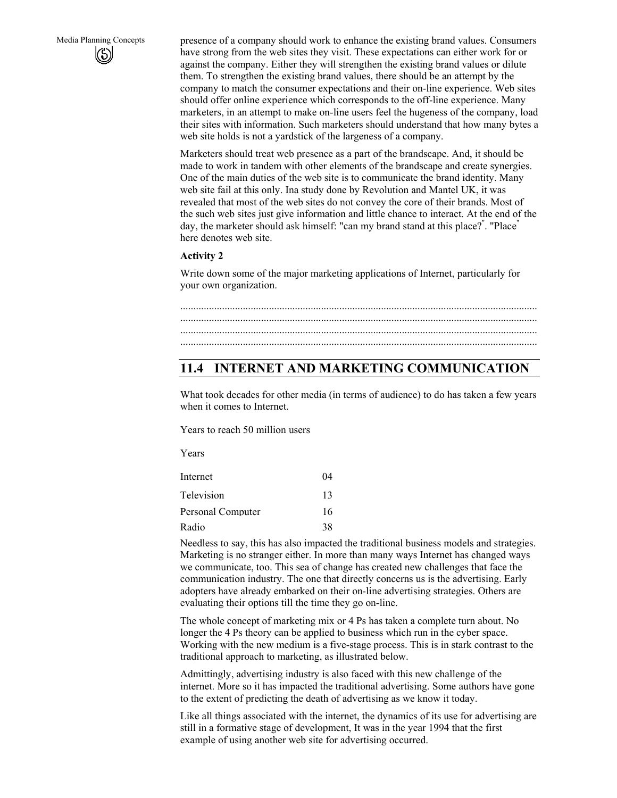Media Planning Concepts presence of a company should work to enhance the existing brand values. Consumers have strong from the web sites they visit. These expectations can either work for or against the company. Either they will strengthen the existing brand values or dilute them. To strengthen the existing brand values, there should be an attempt by the company to match the consumer expectations and their on-line experience. Web sites should offer online experience which corresponds to the off-line experience. Many marketers, in an attempt to make on-line users feel the hugeness of the company, load their sites with information. Such marketers should understand that how many bytes a web site holds is not a yardstick of the largeness of a company.

> Marketers should treat web presence as a part of the brandscape. And, it should be made to work in tandem with other elements of the brandscape and create synergies. One of the main duties of the web site is to communicate the brand identity. Many web site fail at this only. Ina study done by Revolution and Mantel UK, it was revealed that most of the web sites do not convey the core of their brands. Most of the such web sites just give information and little chance to interact. At the end of the day, the marketer should ask himself: "can my brand stand at this place?". "Place" here denotes web site.

#### **Activity 2**

Write down some of the major marketing applications of Internet, particularly for your own organization.

#### ......................................................................................................................................... ......................................................................................................................................... ......................................................................................................................................... .........................................................................................................................................

### **11.4 INTERNET AND MARKETING COMMUNICATION**

What took decades for other media (in terms of audience) to do has taken a few years when it comes to Internet.

Years to reach 50 million users

Years

| Internet          | 04 |
|-------------------|----|
| Television        | 13 |
| Personal Computer | 16 |
| Radio             | 38 |

Needless to say, this has also impacted the traditional business models and strategies. Marketing is no stranger either. In more than many ways Internet has changed ways we communicate, too. This sea of change has created new challenges that face the communication industry. The one that directly concerns us is the advertising. Early adopters have already embarked on their on-line advertising strategies. Others are evaluating their options till the time they go on-line.

The whole concept of marketing mix or 4 Ps has taken a complete turn about. No longer the 4 Ps theory can be applied to business which run in the cyber space. Working with the new medium is a five-stage process. This is in stark contrast to the traditional approach to marketing, as illustrated below.

Admittingly, advertising industry is also faced with this new challenge of the internet. More so it has impacted the traditional advertising. Some authors have gone to the extent of predicting the death of advertising as we know it today.

Like all things associated with the internet, the dynamics of its use for advertising are still in a formative stage of development, It was in the year 1994 that the first example of using another web site for advertising occurred.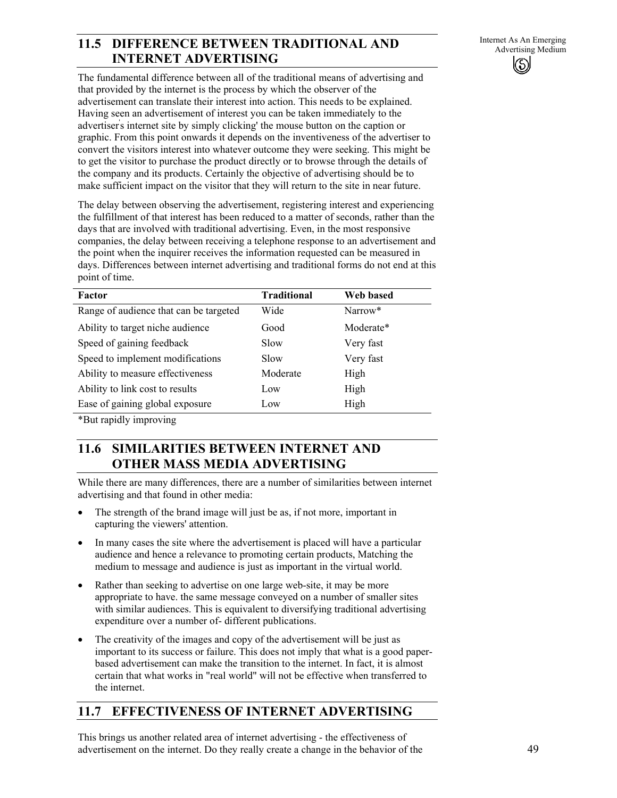# **11.5 DIFFERENCE BETWEEN TRADITIONAL AND** Internet As An Emerging Medium *Advertising Medium* **INTERNET ADVERTISING**

Internet As An Emerging

The fundamental difference between all of the traditional means of advertising and that provided by the internet is the process by which the observer of the advertisement can translate their interest into action. This needs to be explained. Having seen an advertisement of interest you can be taken immediately to the advertiser' s internet site by simply clicking' the mouse button on the caption or graphic. From this point onwards it depends on the inventiveness of the advertiser to convert the visitors interest into whatever outcome they were seeking. This might be to get the visitor to purchase the product directly or to browse through the details of the company and its products. Certainly the objective of advertising should be to make sufficient impact on the visitor that they will return to the site in near future.

The delay between observing the advertisement, registering interest and experiencing the fulfillment of that interest has been reduced to a matter of seconds, rather than the days that are involved with traditional advertising. Even, in the most responsive companies, the delay between receiving a telephone response to an advertisement and the point when the inquirer receives the information requested can be measured in days. Differences between internet advertising and traditional forms do not end at this point of time.

| Factor                                 | <b>Traditional</b> | Web based           |
|----------------------------------------|--------------------|---------------------|
| Range of audience that can be targeted | Wide               | Narrow <sup>*</sup> |
| Ability to target niche audience       | Good               | Moderate*           |
| Speed of gaining feedback              | Slow               | Very fast           |
| Speed to implement modifications       | Slow               | Very fast           |
| Ability to measure effectiveness       | Moderate           | High                |
| Ability to link cost to results        | Low                | High                |
| Ease of gaining global exposure        | Low                | High                |

\*But rapidly improving

### **11.6 SIMILARITIES BETWEEN INTERNET AND OTHER MASS MEDIA ADVERTISING**

While there are many differences, there are a number of similarities between internet advertising and that found in other media:

- The strength of the brand image will just be as, if not more, important in capturing the viewers' attention.
- In many cases the site where the advertisement is placed will have a particular audience and hence a relevance to promoting certain products, Matching the medium to message and audience is just as important in the virtual world.
- Rather than seeking to advertise on one large web-site, it may be more appropriate to have. the same message conveyed on a number of smaller sites with similar audiences. This is equivalent to diversifying traditional advertising expenditure over a number of- different publications.
- The creativity of the images and copy of the advertisement will be just as important to its success or failure. This does not imply that what is a good paperbased advertisement can make the transition to the internet. In fact, it is almost certain that what works in "real world" will not be effective when transferred to the internet.

# **11.7 EFFECTIVENESS OF INTERNET ADVERTISING**

This brings us another related area of internet advertising - the effectiveness of advertisement on the internet. Do they really create a change in the behavior of the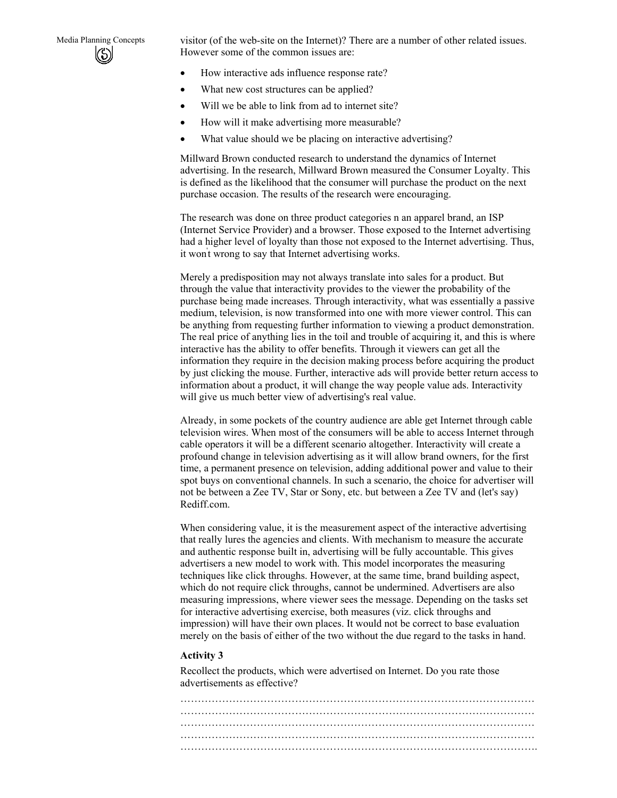Media Planning Concepts visitor (of the web-site on the Internet)? There are a number of other related issues. However some of the common issues are:

- How interactive ads influence response rate?
- What new cost structures can be applied?
- Will we be able to link from ad to internet site?
- How will it make advertising more measurable?
- What value should we be placing on interactive advertising?

Millward Brown conducted research to understand the dynamics of Internet advertising. In the research, Millward Brown measured the Consumer Loyalty. This is defined as the likelihood that the consumer will purchase the product on the next purchase occasion. The results of the research were encouraging.

The research was done on three product categories n an apparel brand, an ISP (Internet Service Provider) and a browser. Those exposed to the Internet advertising had a higher level of loyalty than those not exposed to the Internet advertising. Thus, it won' t wrong to say that Internet advertising works.

Merely a predisposition may not always translate into sales for a product. But through the value that interactivity provides to the viewer the probability of the purchase being made increases. Through interactivity, what was essentially a passive medium, television, is now transformed into one with more viewer control. This can be anything from requesting further information to viewing a product demonstration. The real price of anything lies in the toil and trouble of acquiring it, and this is where interactive has the ability to offer benefits. Through it viewers can get all the information they require in the decision making process before acquiring the product by just clicking the mouse. Further, interactive ads will provide better return access to information about a product, it will change the way people value ads. Interactivity will give us much better view of advertising's real value.

Already, in some pockets of the country audience are able get Internet through cable television wires. When most of the consumers will be able to access Internet through cable operators it will be a different scenario altogether. Interactivity will create a profound change in television advertising as it will allow brand owners, for the first time, a permanent presence on television, adding additional power and value to their spot buys on conventional channels. In such a scenario, the choice for advertiser will not be between a Zee TV, Star or Sony, etc. but between a Zee TV and (let's say) Rediff.com.

When considering value, it is the measurement aspect of the interactive advertising that really lures the agencies and clients. With mechanism to measure the accurate and authentic response built in, advertising will be fully accountable. This gives advertisers a new model to work with. This model incorporates the measuring techniques like click throughs. However, at the same time, brand building aspect, which do not require click throughs, cannot be undermined. Advertisers are also measuring impressions, where viewer sees the message. Depending on the tasks set for interactive advertising exercise, both measures (viz. click throughs and impression) will have their own places. It would not be correct to base evaluation merely on the basis of either of the two without the due regard to the tasks in hand.

#### **Activity 3**

Recollect the products, which were advertised on Internet. Do you rate those advertisements as effective?

………………………………………………………………………………………… ………………………………………………………………………………………… ………………………………………………………………………………………… ………………………………………………………………………………………… ………………………………………………………………………………………….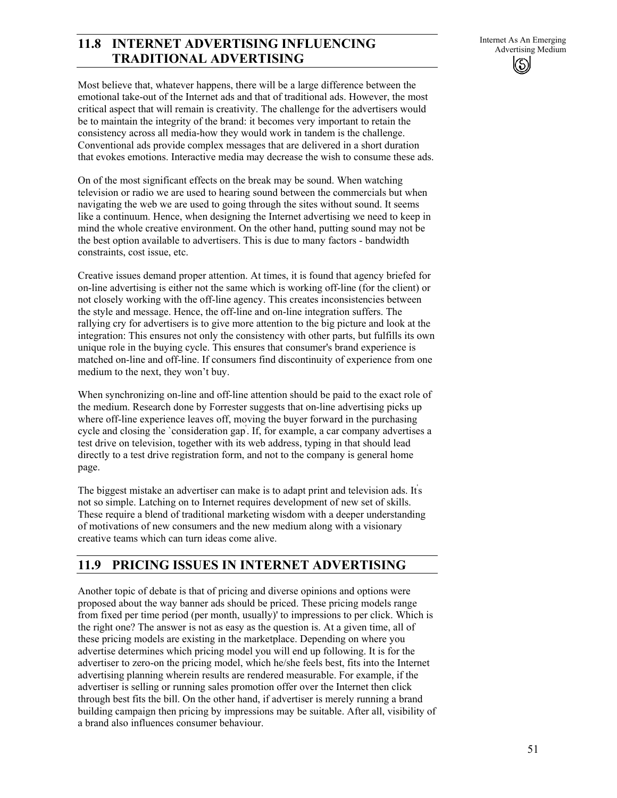## **11.8 INTERNET ADVERTISING INFLUENCING**<br>Advertising Medium *Advertising Medium* **TRADITIONAL ADVERTISING**

Most believe that, whatever happens, there will be a large difference between the emotional take-out of the Internet ads and that of traditional ads. However, the most critical aspect that will remain is creativity. The challenge for the advertisers would be to maintain the integrity of the brand: it becomes very important to retain the consistency across all media-how they would work in tandem is the challenge. Conventional ads provide complex messages that are delivered in a short duration that evokes emotions. Interactive media may decrease the wish to consume these ads.

On of the most significant effects on the break may be sound. When watching television or radio we are used to hearing sound between the commercials but when navigating the web we are used to going through the sites without sound. It seems like a continuum. Hence, when designing the Internet advertising we need to keep in mind the whole creative environment. On the other hand, putting sound may not be the best option available to advertisers. This is due to many factors - bandwidth constraints, cost issue, etc.

Creative issues demand proper attention. At times, it is found that agency briefed for on-line advertising is either not the same which is working off-line (for the client) or not closely working with the off-line agency. This creates inconsistencies between the style and message. Hence, the off-line and on-line integration suffers. The rallying cry for advertisers is to give more attention to the big picture and look at the integration: This ensures not only the consistency with other parts, but fulfills its own unique role in the buying cycle. This ensures that consumer's brand experience is matched on-line and off-line. If consumers find discontinuity of experience from one medium to the next, they won't buy.

When synchronizing on-line and off-line attention should be paid to the exact role of the medium. Research done by Forrester suggests that on-line advertising picks up where off-line experience leaves off, moving the buyer forward in the purchasing cycle and closing the `consideration gap' . If, for example, a car company advertises a test drive on television, together with its web address, typing in that should lead directly to a test drive registration form, and not to the company is general home page.

The biggest mistake an advertiser can make is to adapt print and television ads. It's not so simple. Latching on to Internet requires development of new set of skills. These require a blend of traditional marketing wisdom with a deeper understanding of motivations of new consumers and the new medium along with a visionary creative teams which can turn ideas come alive.

### **11.9 PRICING ISSUES IN INTERNET ADVERTISING**

Another topic of debate is that of pricing and diverse opinions and options were proposed about the way banner ads should be priced. These pricing models range from fixed per time period (per month, usually)' to impressions to per click. Which is the right one? The answer is not as easy as the question is. At a given time, all of these pricing models are existing in the marketplace. Depending on where you advertise determines which pricing model you will end up following. It is for the advertiser to zero-on the pricing model, which he/she feels best, fits into the Internet advertising planning wherein results are rendered measurable. For example, if the advertiser is selling or running sales promotion offer over the Internet then click through best fits the bill. On the other hand, if advertiser is merely running a brand building campaign then pricing by impressions may be suitable. After all, visibility of a brand also influences consumer behaviour.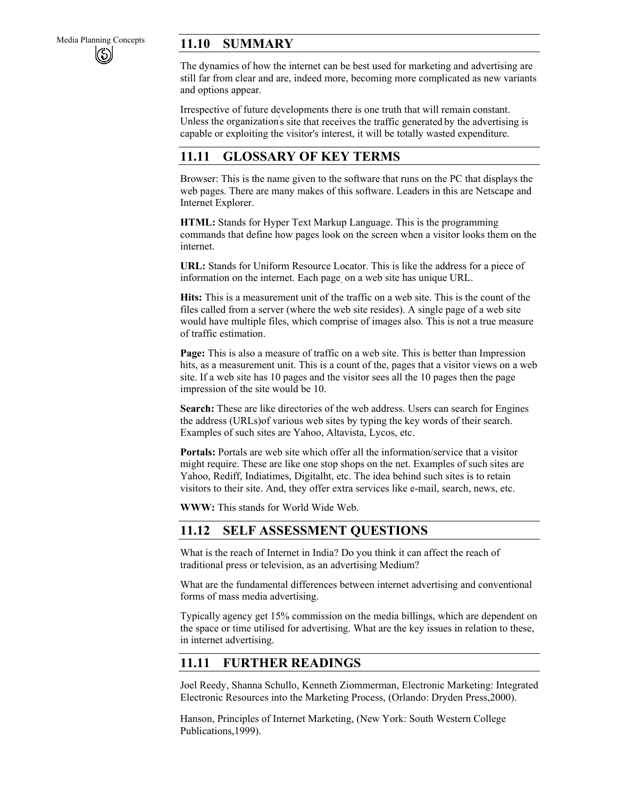# Media Planning Concepts **11.10 SUMMARY**

The dynamics of how the internet can be best used for marketing and advertising are still far from clear and are, indeed more, becoming more complicated as new variants and options appear.

Irrespective of future developments there is one truth that will remain constant. Unless the organization's site that receives the traffic generated by the advertising is capable or exploiting the visitor's interest, it will be totally wasted expenditure.

### **11.11 GLOSSARY OF KEY TERMS**

Browser: This is the name given to the software that runs on the PC that displays the web pages. There are many makes of this software. Leaders in this are Netscape and Internet Explorer.

**HTML:** Stands for Hyper Text Markup Language. This is the programming commands that define how pages look on the screen when a visitor looks them on the internet.

**URL:** Stands for Uniform Resource Locator. This is like the address for a piece of information on the internet. Each page, on a web site has unique URL.

**Hits:** This is a measurement unit of the traffic on a web site. This is the count of the files called from a server (where the web site resides). A single page of a web site would have multiple files, which comprise of images also. This is not a true measure of traffic estimation.

**Page:** This is also a measure of traffic on a web site. This is better than Impression hits, as a measurement unit. This is a count of the, pages that a visitor views on a web site. If a web site has 10 pages and the visitor sees all the 10 pages then the page impression of the site would be 10.

**Search:** These are like directories of the web address. Users can search for Engines the address (URLs)of various web sites by typing the key words of their search. Examples of such sites are Yahoo, Altavista, Lycos, etc.

**Portals:** Portals are web site which offer all the information/service that a visitor might require. These are like one stop shops on the net. Examples of such sites are Yahoo, Rediff, Indiatimes, Digitalht, etc. The idea behind such sites is to retain visitors to their site. And, they offer extra services like e-mail, search, news, etc.

**WWW:** This stands for World Wide Web.

### **11.12 SELF ASSESSMENT QUESTIONS**

What is the reach of Internet in India? Do you think it can affect the reach of traditional press or television, as an advertising Medium?

What are the fundamental differences between internet advertising and conventional forms of mass media advertising.

Typically agency get 15% commission on the media billings, which are dependent on the space or time utilised for advertising. What are the key issues in relation to these, in internet advertising.

### **11.11 FURTHER READINGS**

Joel Reedy, Shanna Schullo, Kenneth Ziommerman, Electronic Marketing: Integrated Electronic Resources into the Marketing Process, (Orlando: Dryden Press,2000).

Hanson, Principles of Internet Marketing, (New York: South Western College Publications,1999).